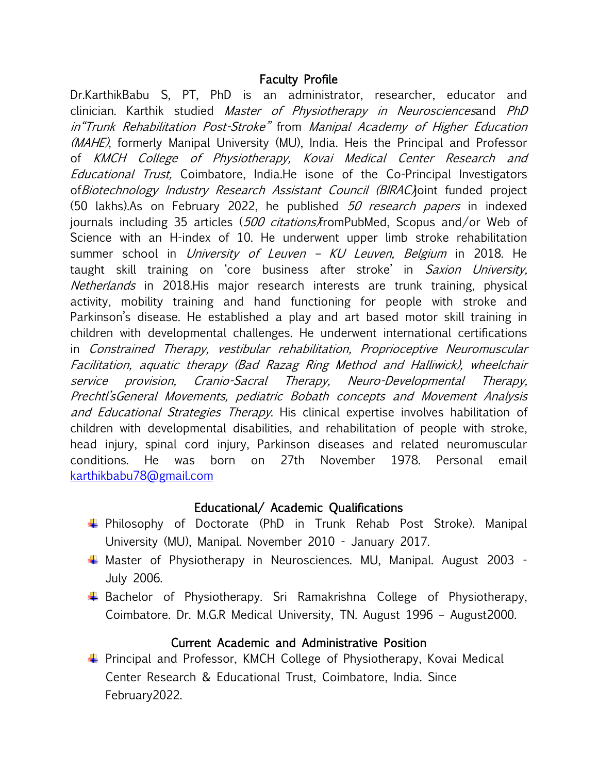#### Faculty Profile

Dr.KarthikBabu S, PT, PhD is an administrator, researcher, educator and clinician. Karthik studied Master of Physiotherapy in Neurosciencesand PhD in"Trunk Rehabilitation Post-Stroke" from Manipal Academy of Higher Education (*MAHE*), formerly Manipal University (MU), India. Heis the Principal and Professor of KMCH College of Physiotherapy, Kovai Medical Center Research and Educational Trust, Coimbatore, India.He isone of the Co-Principal Investigators of Biotechnology Industry Research Assistant Council (BIRAC) oint funded project (50 lakhs). As on February 2022, he published  $50$  research papers in indexed journals including 35 articles ( $500$  citations) from PubMed, Scopus and/or Web of Science with an H-index of 10. He underwent upper limb stroke rehabilitation summer school in *University of Leuven – KU Leuven, Belgium* in 2018. He taught skill training on 'core business after stroke' in Saxion University, Netherlands in 2018. His major research interests are trunk training, physical activity, mobility training and hand functioning for people with stroke and Parkinson's disease. He established a play and art based motor skill training in children with developmental challenges. He underwent international certifications in Constrained Therapy, vestibular rehabilitation, Proprioceptive Neuromuscular Facilitation, aquatic therapy (Bad Razag Ring Method and Halliwick), wheelchair service provision, Cranio-Sacral Therapy, Neuro-Developmental Therapy, Prechtl'sGeneral Movements, pediatric Bobath concepts and Movement Analysis and Educational Strategies Therapy. His clinical expertise involves habilitation of children with developmental disabilities, and rehabilitation of people with stroke, head injury, spinal cord injury, Parkinson diseases and related neuromuscular conditions. He was born on 27th November 1978. Personal email [karthikbabu78@gmail.com](mailto:karthikbabu78@gmail.com)

# Educational/ Academic Qualifications

- Philosophy of Doctorate (PhD in Trunk Rehab Post Stroke). Manipal University (MU), Manipal. November 2010 - January 2017.
- Master of Physiotherapy in Neurosciences. MU, Manipal. August 2003 July 2006.
- Bachelor of Physiotherapy. Sri Ramakrishna College of Physiotherapy, Coimbatore. Dr. M.G.R Medical University, TN. August 1996 – August2000.

### Current Academic and Administrative Position

Principal and Professor, KMCH College of Physiotherapy, Kovai Medical Center Research & Educational Trust, Coimbatore, India. Since February2022.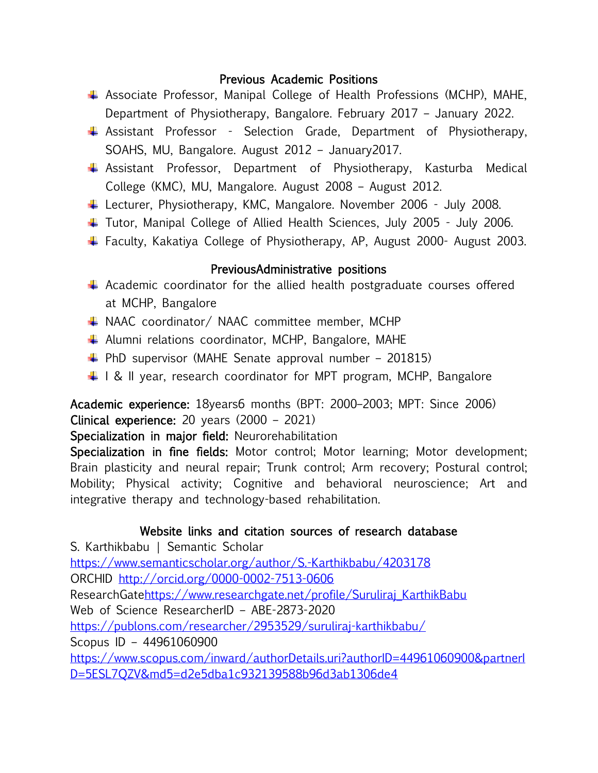### Previous Academic Positions

- Associate Professor, Manipal College of Health Professions (MCHP), MAHE, Department of Physiotherapy, Bangalore. February 2017 – January 2022.
- Assistant Professor Selection Grade, Department of Physiotherapy, SOAHS, MU, Bangalore. August 2012 – January2017.
- Assistant Professor, Department of Physiotherapy, Kasturba Medical College (KMC), MU, Mangalore. August 2008 – August 2012.
- Lecturer, Physiotherapy, KMC, Mangalore. November 2006 July 2008.
- ↓ Tutor, Manipal College of Allied Health Sciences, July 2005 July 2006.
- ↓ Faculty, Kakatiya College of Physiotherapy, AP, August 2000- August 2003.

#### PreviousAdministrative positions

- $\ddot$  Academic coordinator for the allied health postgraduate courses offered at MCHP, Bangalore
- NAAC coordinator/ NAAC committee member, MCHP
- $\overline{\phantom{a}}$  Alumni relations coordinator, MCHP, Bangalore, MAHE
- $\downarrow$  PhD supervisor (MAHE Senate approval number 201815)
- $\downarrow$  1 & II year, research coordinator for MPT program, MCHP, Bangalore

Academic experience: 18years6 months (BPT: 2000–2003; MPT: Since 2006)

# Clinical experience: 20 years (2000 – 2021)

Specialization in major field: Neurorehabilitation

Specialization in fine fields: Motor control; Motor learning; Motor development; Brain plasticity and neural repair; Trunk control; Arm recovery; Postural control; Mobility; Physical activity; Cognitive and behavioral neuroscience; Art and integrative therapy and technology-based rehabilitation.

#### Website links and citation sources of research database

S. Karthikbabu | Semantic Scholar <https://www.semanticscholar.org/author/S.-Karthikbabu/4203178> ORCHID<http://orcid.org/0000-0002-7513-0606> ResearchGat[ehttps://www.researchgate.net/profile/Suruliraj\\_KarthikBabu](https://www.researchgate.net/profile/Suruliraj_KarthikBabu) Web of Science ResearcherID – ABE-2873-2020 <https://publons.com/researcher/2953529/suruliraj-karthikbabu/> Scopus ID – 44961060900 [https://www.scopus.com/inward/authorDetails.uri?authorID=44961060900&partnerI](https://www.scopus.com/inward/authorDetails.uri?authorID=44961060900&partnerID=5ESL7QZV&md5=d2e5dba1c932139588b96d3ab1306de4) [D=5ESL7QZV&md5=d2e5dba1c932139588b96d3ab1306de4](https://www.scopus.com/inward/authorDetails.uri?authorID=44961060900&partnerID=5ESL7QZV&md5=d2e5dba1c932139588b96d3ab1306de4)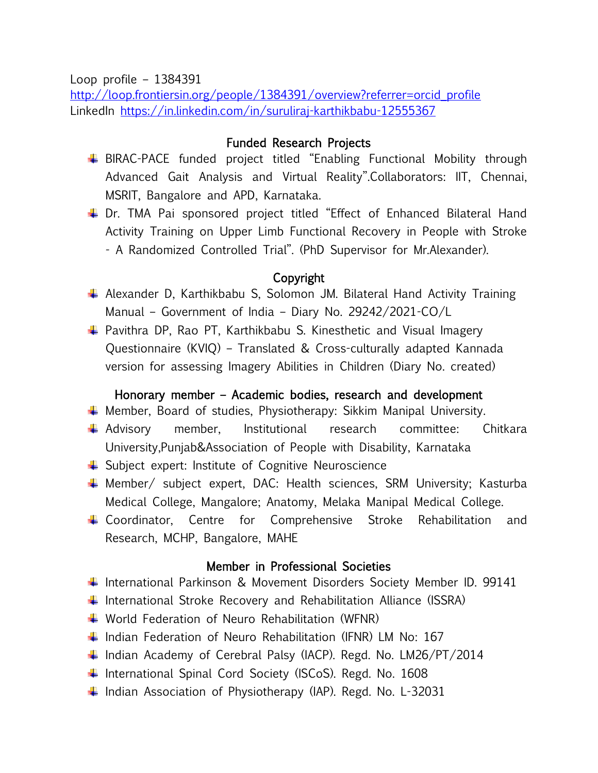Loop profile – 1384391

[http://loop.frontiersin.org/people/1384391/overview?referrer=orcid\\_profile](http://loop.frontiersin.org/people/1384391/overview?referrer=orcid_profile) LinkedIn<https://in.linkedin.com/in/suruliraj-karthikbabu-12555367>

### Funded Research Projects

- BIRAC-PACE funded project titled "Enabling Functional Mobility through Advanced Gait Analysis and Virtual Reality".Collaborators: IIT, Chennai, MSRIT, Bangalore and APD, Karnataka.
- ↓ Dr. TMA Pai sponsored project titled "Effect of Enhanced Bilateral Hand Activity Training on Upper Limb Functional Recovery in People with Stroke - A Randomized Controlled Trial". (PhD Supervisor for Mr.Alexander).

### Copyright

- Alexander D, Karthikbabu S, Solomon JM. Bilateral Hand Activity Training Manual – Government of India – Diary No. 29242/2021-CO/L
- ↓ Pavithra DP, Rao PT, Karthikbabu S. Kinesthetic and Visual Imagery Questionnaire (KVIQ) – Translated & Cross-culturally adapted Kannada version for assessing Imagery Abilities in Children (Diary No. created)

### Honorary member – Academic bodies, research and development

- Member, Board of studies, Physiotherapy: Sikkim Manipal University.
- Advisory member, Institutional research committee: Chitkara University,Punjab&Association of People with Disability, Karnataka
- ↓ Subject expert: Institute of Cognitive Neuroscience
- $\downarrow$  Member/ subject expert, DAC: Health sciences, SRM University; Kasturba Medical College, Mangalore; Anatomy, Melaka Manipal Medical College.
- Coordinator, Centre for Comprehensive Stroke Rehabilitation and Research, MCHP, Bangalore, MAHE

### Member in Professional Societies

- ↓ International Parkinson & Movement Disorders Society Member ID. 99141
- $\downarrow$  International Stroke Recovery and Rehabilitation Alliance (ISSRA)
- World Federation of Neuro Rehabilitation (WFNR)
- $\pm$  Indian Federation of Neuro Rehabilitation (IFNR) LM No: 167
- $\ddot{\phantom{1}}$  Indian Academy of Cerebral Palsy (IACP). Regd. No. LM26/PT/2014
- ↓ International Spinal Cord Society (ISCoS). Regd. No. 1608
- $\ddot$  Indian Association of Physiotherapy (IAP). Regd. No. L-32031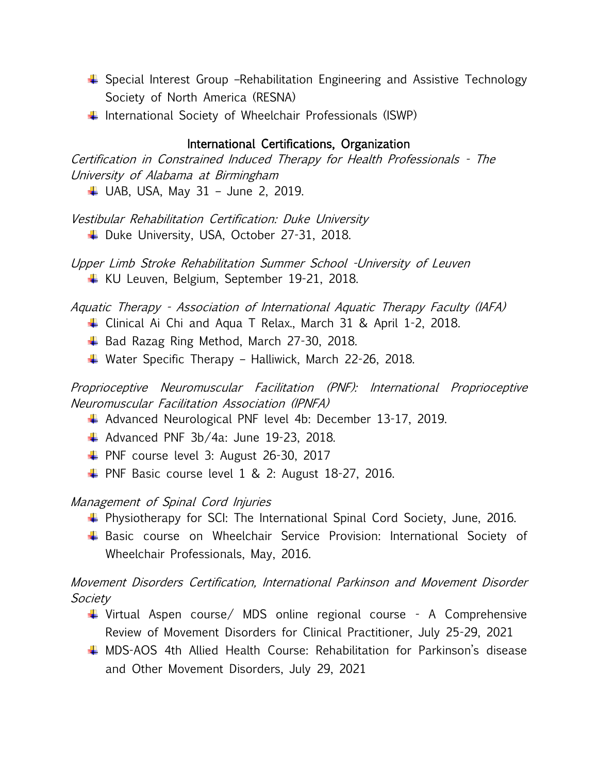- ↓ Special Interest Group –Rehabilitation Engineering and Assistive Technology Society of North America (RESNA)
- $\ddot$  International Society of Wheelchair Professionals (ISWP)

#### International Certifications, Organization

Certification in Constrained Induced Therapy for Health Professionals - The University of Alabama at Birmingham

 $\downarrow$  UAB, USA, May 31 – June 2, 2019.

Vestibular Rehabilitation Certification: Duke University

↓ Duke University, USA, October 27-31, 2018.

Upper Limb Stroke Rehabilitation Summer School -University of Leuven KU Leuven, Belgium, September 19-21, 2018.

Aquatic Therapy - Association of International Aquatic Therapy Faculty (IAFA)

- ↓ Clinical Ai Chi and Aqua T Relax., March 31 & April 1-2, 2018.
- $\ddot$  Bad Razag Ring Method, March 27-30, 2018.
- Water Specific Therapy Halliwick, March 22-26, 2018.

Proprioceptive Neuromuscular Facilitation (PNF): International Proprioceptive Neuromuscular Facilitation Association (IPNFA)

- ↓ Advanced Neurological PNF level 4b: December 13-17, 2019.
- $\downarrow$  Advanced PNF 3b/4a: June 19-23, 2018.
- $\downarrow$  PNF course level 3: August 26-30, 2017
- $\downarrow$  PNF Basic course level 1 & 2: August 18-27, 2016.

Management of Spinal Cord Injuries

- **+** Physiotherapy for SCI: The International Spinal Cord Society, June, 2016.
- Basic course on Wheelchair Service Provision: International Society of Wheelchair Professionals, May, 2016.

Movement Disorders Certification, International Parkinson and Movement Disorder Society

- $\downarrow$  Virtual Aspen course/ MDS online regional course A Comprehensive Review of Movement Disorders for Clinical Practitioner, July 25-29, 2021
- MDS-AOS 4th Allied Health Course: Rehabilitation for Parkinson's disease and Other Movement Disorders, July 29, 2021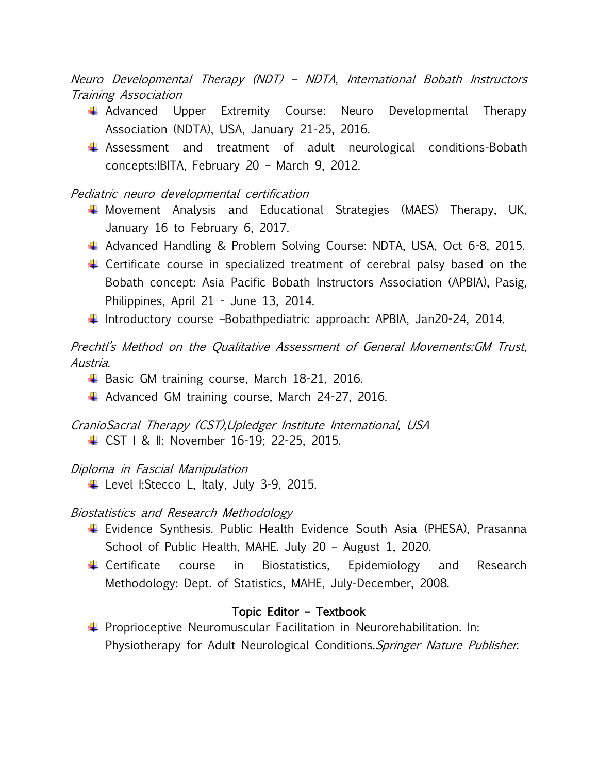Neuro Developmental Therapy (NDT) – NDTA, International Bobath Instructors Training Association

- 4 Advanced Upper Extremity Course: Neuro Developmental Therapy Association (NDTA), USA, January 21-25, 2016.
- Assessment and treatment of adult neurological conditions-Bobath concepts:IBITA, February 20 – March 9, 2012.

#### Pediatric neuro developmental certification

- $\downarrow$  Movement Analysis and Educational Strategies (MAES) Therapy, UK, January 16 to February 6, 2017.
- 4 Advanced Handling & Problem Solving Course: NDTA, USA, Oct 6-8, 2015.
- $\ddot$  Certificate course in specialized treatment of cerebral palsy based on the Bobath concept: Asia Pacific Bobath Instructors Association (APBIA), Pasig, Philippines, April 21 - June 13, 2014.
- $\downarrow$  Introductory course –Bobathpediatric approach: APBIA, Jan20-24, 2014.

Prechtl's Method on the Qualitative Assessment of General Movements:GM Trust, Austria.

- $\ddot$  Basic GM training course, March 18-21, 2016.
- 4 Advanced GM training course, March 24-27, 2016.

### CranioSacral Therapy (CST),Upledger Institute International, USA CST I & II: November 16-19; 22-25, 2015.

### Diploma in Fascial Manipulation

 $\downarrow$  Level I:Stecco L, Italy, July 3-9, 2015.

### Biostatistics and Research Methodology

- Evidence Synthesis. Public Health Evidence South Asia (PHESA), Prasanna School of Public Health, MAHE. July 20 – August 1, 2020.
- $\downarrow$  Certificate course in Biostatistics, Epidemiology and Research Methodology: Dept. of Statistics, MAHE, July-December, 2008.

# Topic Editor – Textbook

**F** Proprioceptive Neuromuscular Facilitation in Neurorehabilitation. In: Physiotherapy for Adult Neurological Conditions. Springer Nature Publisher.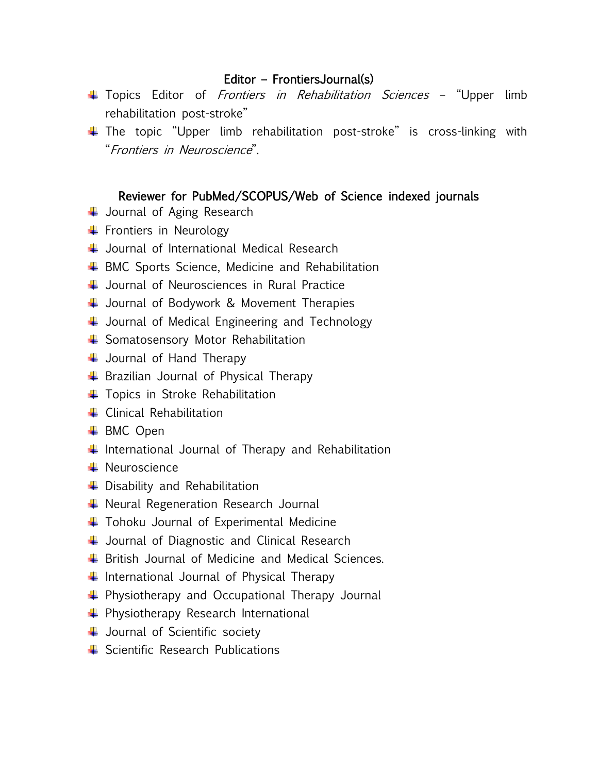#### Editor – FrontiersJournal(s)

- **T** Topics Editor of *Frontiers in Rehabilitation Sciences* "Upper limb rehabilitation post-stroke"
- $\ddot$  The topic "Upper limb rehabilitation post-stroke" is cross-linking with "Frontiers in Neuroscience".

### Reviewer for PubMed/SCOPUS/Web of Science indexed journals

- $\downarrow$  Journal of Aging Research
- $\ddot{\bullet}$  Frontiers in Neurology
- **↓** Journal of International Medical Research
- ↓ BMC Sports Science, Medicine and Rehabilitation
- $\downarrow$  Journal of Neurosciences in Rural Practice
- ↓ Journal of Bodywork & Movement Therapies
- ↓ Journal of Medical Engineering and Technology
- $\overline{\phantom{a}}$  Somatosensory Motor Rehabilitation
- $\downarrow$  Journal of Hand Therapy
- $\downarrow$  Brazilian Journal of Physical Therapy
- $\ddot{\phantom{1}}$  Topics in Stroke Rehabilitation
- $\ddot{\bullet}$  Clinical Rehabilitation
- **↓ BMC Open**
- $\ddag$  International Journal of Therapy and Rehabilitation
- $\ddot$  Neuroscience
- $\ddot{\phantom{1}}$  Disability and Rehabilitation
- $\downarrow$  Neural Regeneration Research Journal
- Tohoku Journal of Experimental Medicine
- $\downarrow$  Journal of Diagnostic and Clinical Research
- $\overline{\phantom{a}}$  British Journal of Medicine and Medical Sciences.
- $\downarrow$  International Journal of Physical Therapy
- Physiotherapy and Occupational Therapy Journal
- **↓** Physiotherapy Research International
- Upurnal of Scientific society
- $\ddot{\bullet}$  Scientific Research Publications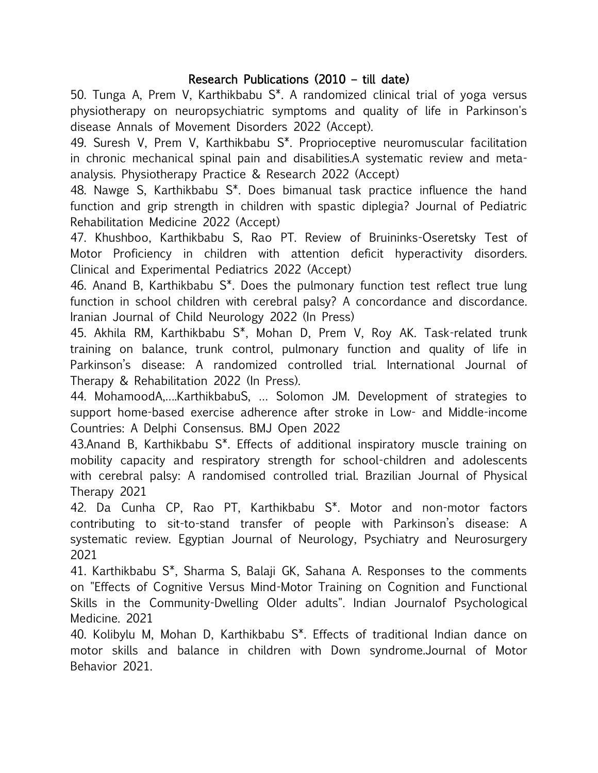# Research Publications (2010 – till date)

50. Tunga A, Prem V, Karthikbabu S\*. A randomized clinical trial of yoga versus physiotherapy on neuropsychiatric symptoms and quality of life in Parkinson's disease Annals of Movement Disorders 2022 (Accept).

49. Suresh V, Prem V, Karthikbabu S\*. Proprioceptive neuromuscular facilitation in chronic mechanical spinal pain and disabilities.A systematic review and metaanalysis. Physiotherapy Practice & Research 2022 (Accept)

48. Nawge S, Karthikbabu S\*. Does bimanual task practice influence the hand function and grip strength in children with spastic diplegia? Journal of Pediatric Rehabilitation Medicine 2022 (Accept)

47. Khushboo, Karthikbabu S, Rao PT. Review of Bruininks-Oseretsky Test of Motor Proficiency in children with attention deficit hyperactivity disorders. Clinical and Experimental Pediatrics 2022 (Accept)

46. Anand B, Karthikbabu S\*. Does the pulmonary function test reflect true lung function in school children with cerebral palsy? A concordance and discordance. Iranian Journal of Child Neurology 2022 (In Press)

45. Akhila RM, Karthikbabu S\*, Mohan D, Prem V, Roy AK. Task-related trunk training on balance, trunk control, pulmonary function and quality of life in Parkinson's disease: A randomized controlled trial. International Journal of Therapy & Rehabilitation 2022 (In Press).

44. MohamoodA,….KarthikbabuS, … Solomon JM. Development of strategies to support home-based exercise adherence after stroke in Low- and Middle-income Countries: A Delphi Consensus. BMJ Open 2022

43.Anand B, Karthikbabu S\*. Effects of additional inspiratory muscle training on mobility capacity and respiratory strength for school-children and adolescents with cerebral palsy: A randomised controlled trial. Brazilian Journal of Physical Therapy 2021

42. Da Cunha CP, Rao PT, Karthikbabu S\*. Motor and non-motor factors contributing to sit-to-stand transfer of people with Parkinson's disease: A systematic review. Egyptian Journal of Neurology, Psychiatry and Neurosurgery 2021

41. Karthikbabu S\*, Sharma S, Balaji GK, Sahana A. Responses to the comments on "Effects of Cognitive Versus Mind-Motor Training on Cognition and Functional Skills in the Community-Dwelling Older adults". Indian Journalof Psychological Medicine. 2021

40. Kolibylu M, Mohan D, Karthikbabu S\*. Effects of traditional Indian dance on motor skills and balance in children with Down syndrome.Journal of Motor Behavior 2021.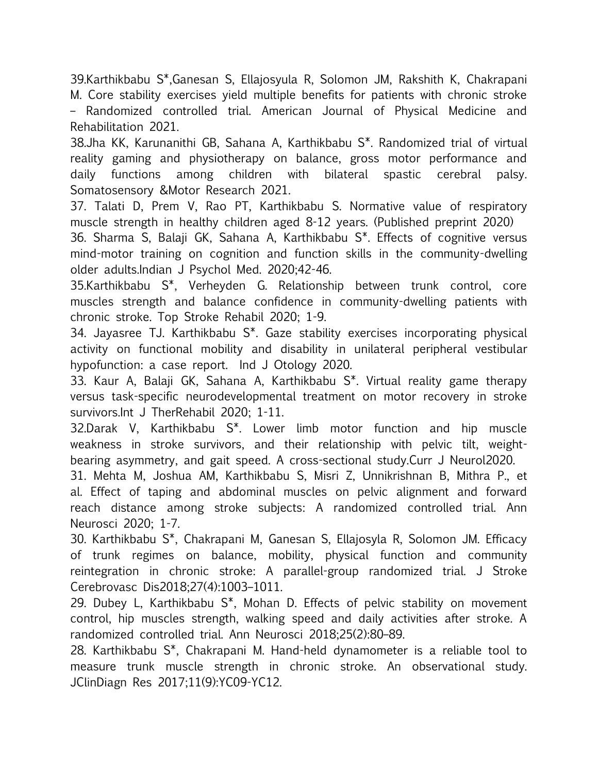39.Karthikbabu S\*,Ganesan S, Ellajosyula R, Solomon JM, Rakshith K, Chakrapani M. Core stability exercises yield multiple benefits for patients with chronic stroke – Randomized controlled trial. American Journal of Physical Medicine and Rehabilitation 2021.

38.Jha KK, Karunanithi GB, Sahana A, Karthikbabu S\*. Randomized trial of virtual reality gaming and physiotherapy on balance, gross motor performance and daily functions among children with bilateral spastic cerebral palsy. Somatosensory &Motor Research 2021.

37. Talati D, Prem V, Rao PT, Karthikbabu S. Normative value of respiratory muscle strength in healthy children aged 8-12 years. (Published preprint 2020)

36. Sharma S, Balaji GK, Sahana A, Karthikbabu S\*. Effects of cognitive versus mind-motor training on cognition and function skills in the community-dwelling older adults.Indian J Psychol Med. 2020;42-46.

35.Karthikbabu S\*, Verheyden G. Relationship between trunk control, core muscles strength and balance confidence in community-dwelling patients with chronic stroke. Top Stroke Rehabil 2020; 1-9.

34. Jayasree TJ. Karthikbabu S\*. Gaze stability exercises incorporating physical activity on functional mobility and disability in unilateral peripheral vestibular hypofunction: a case report. Ind J Otology 2020.

33. Kaur A, Balaji GK, Sahana A, Karthikbabu S\*. Virtual reality game therapy versus task-specific neurodevelopmental treatment on motor recovery in stroke survivors.Int J TherRehabil 2020; 1-11.

32.Darak V, Karthikbabu S\*. Lower limb motor function and hip muscle weakness in stroke survivors, and their relationship with pelvic tilt, weightbearing asymmetry, and gait speed. A cross-sectional study.Curr J Neurol2020.

31. Mehta M, Joshua AM, Karthikbabu S, Misri Z, Unnikrishnan B, Mithra P., et al. Effect of taping and abdominal muscles on pelvic alignment and forward reach distance among stroke subjects: A randomized controlled trial. Ann Neurosci 2020; 1-7.

30. Karthikbabu S\*, Chakrapani M, Ganesan S, Ellajosyla R, Solomon JM. Efficacy of trunk regimes on balance, mobility, physical function and community reintegration in chronic stroke: A parallel-group randomized trial. J Stroke Cerebrovasc Dis2018;27(4):1003–1011.

29. Dubey L, Karthikbabu S\*, Mohan D. Effects of pelvic stability on movement control, hip muscles strength, walking speed and daily activities after stroke. A randomized controlled trial. Ann Neurosci 2018;25(2):80–89.

28. Karthikbabu S\*, Chakrapani M. Hand-held dynamometer is a reliable tool to measure trunk muscle strength in chronic stroke. An observational study. JClinDiagn Res 2017;11(9):YC09-YC12.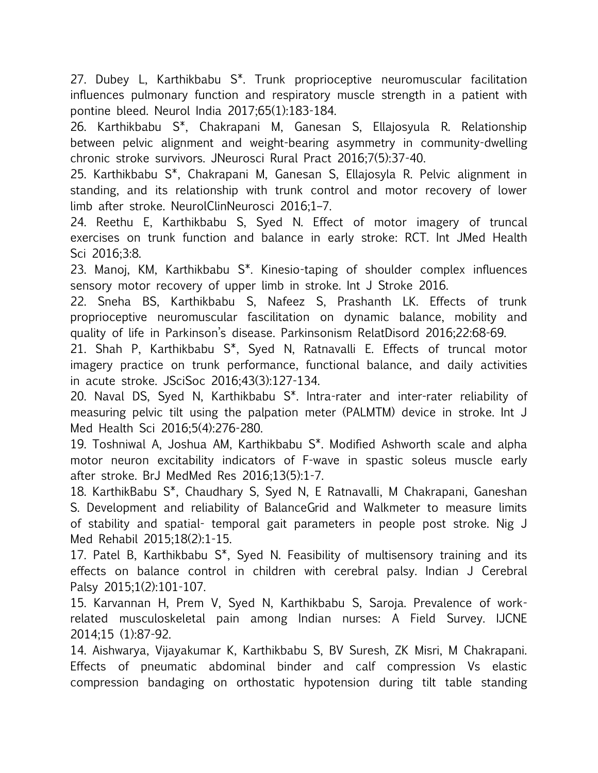27. Dubey L, Karthikbabu S\*. Trunk proprioceptive neuromuscular facilitation influences pulmonary function and respiratory muscle strength in a patient with pontine bleed. Neurol India 2017;65(1):183-184.

26. Karthikbabu S\*, Chakrapani M, Ganesan S, Ellajosyula R. Relationship between pelvic alignment and weight-bearing asymmetry in community-dwelling chronic stroke survivors. JNeurosci Rural Pract 2016;7(5):37-40.

25. Karthikbabu S\*, Chakrapani M, Ganesan S, Ellajosyla R. Pelvic alignment in standing, and its relationship with trunk control and motor recovery of lower limb after stroke. NeurolClinNeurosci 2016;1–7.

24. Reethu E, Karthikbabu S, Syed N. Effect of motor imagery of truncal exercises on trunk function and balance in early stroke: RCT. Int JMed Health Sci 2016;3:8.

23. Manoj, KM, Karthikbabu S\*. Kinesio-taping of shoulder complex influences sensory motor recovery of upper limb in stroke. Int J Stroke 2016.

22. Sneha BS, Karthikbabu S, Nafeez S, Prashanth LK. Effects of trunk proprioceptive neuromuscular fascilitation on dynamic balance, mobility and quality of life in Parkinson's disease. Parkinsonism RelatDisord 2016;22:68-69.

21. Shah P, Karthikbabu S\*, Syed N, Ratnavalli E. Effects of truncal motor imagery practice on trunk performance, functional balance, and daily activities in acute stroke. JSciSoc 2016;43(3):127-134.

20. Naval DS, Syed N, Karthikbabu S\*. Intra-rater and inter-rater reliability of measuring pelvic tilt using the palpation meter (PALMTM) device in stroke. Int J Med Health Sci 2016;5(4):276-280.

19. Toshniwal A, Joshua AM, Karthikbabu S\*. Modified Ashworth scale and alpha motor neuron excitability indicators of F-wave in spastic soleus muscle early after stroke. BrJ MedMed Res 2016;13(5):1-7.

18. KarthikBabu S\*, Chaudhary S, Syed N, E Ratnavalli, M Chakrapani, Ganeshan S. Development and reliability of BalanceGrid and Walkmeter to measure limits of stability and spatial- temporal gait parameters in people post stroke. Nig J Med Rehabil 2015;18(2):1-15.

17. Patel B, Karthikbabu S\*, Syed N. Feasibility of multisensory training and its effects on balance control in children with cerebral palsy. Indian J Cerebral Palsy 2015;1(2):101-107.

15. Karvannan H, Prem V, Syed N, Karthikbabu S, Saroja. Prevalence of workrelated musculoskeletal pain among Indian nurses: A Field Survey. IJCNE 2014;15 (1):87-92.

14. Aishwarya, Vijayakumar K, Karthikbabu S, BV Suresh, ZK Misri, M Chakrapani. Effects of pneumatic abdominal binder and calf compression Vs elastic compression bandaging on orthostatic hypotension during tilt table standing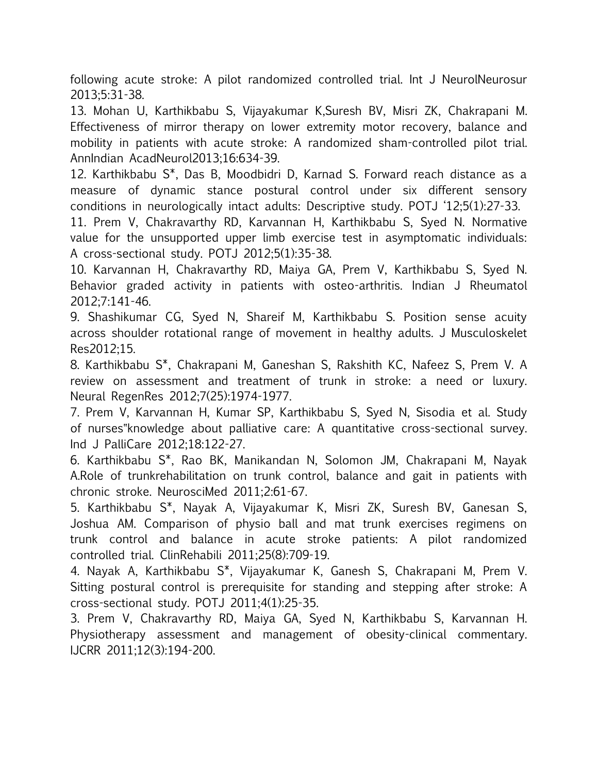following acute stroke: A pilot randomized controlled trial. Int J NeurolNeurosur 2013;5:31-38.

13. Mohan U, Karthikbabu S, Vijayakumar K,Suresh BV, Misri ZK, Chakrapani M. Effectiveness of mirror therapy on lower extremity motor recovery, balance and mobility in patients with acute stroke: A randomized sham-controlled pilot trial. AnnIndian AcadNeurol2013;16:634-39.

12. Karthikbabu S\*, Das B, Moodbidri D, Karnad S. Forward reach distance as a measure of dynamic stance postural control under six different sensory conditions in neurologically intact adults: Descriptive study. POTJ '12;5(1):27-33.

11. Prem V, Chakravarthy RD, Karvannan H, Karthikbabu S, Syed N. Normative value for the unsupported upper limb exercise test in asymptomatic individuals: A cross-sectional study. POTJ 2012;5(1):35-38.

10. Karvannan H, Chakravarthy RD, Maiya GA, Prem V, Karthikbabu S, Syed N. Behavior graded activity in patients with osteo-arthritis. Indian J Rheumatol 2012;7:141-46.

9. Shashikumar CG, Syed N, Shareif M, Karthikbabu S. Position sense acuity across shoulder rotational range of movement in healthy adults. J Musculoskelet Res2012;15.

8. Karthikbabu S\*, Chakrapani M, Ganeshan S, Rakshith KC, Nafeez S, Prem V. A review on assessment and treatment of trunk in stroke: a need or luxury. Neural RegenRes 2012;7(25):1974-1977.

7. Prem V, Karvannan H, Kumar SP, Karthikbabu S, Syed N, Sisodia et al. Study of nurses"knowledge about palliative care: A quantitative cross-sectional survey. Ind J PalliCare 2012;18:122-27.

6. Karthikbabu S\*, Rao BK, Manikandan N, Solomon JM, Chakrapani M, Nayak A.Role of trunkrehabilitation on trunk control, balance and gait in patients with chronic stroke. NeurosciMed 2011;2:61-67.

5. Karthikbabu S\*, Nayak A, Vijayakumar K, Misri ZK, Suresh BV, Ganesan S, Joshua AM. Comparison of physio ball and mat trunk exercises regimens on trunk control and balance in acute stroke patients: A pilot randomized controlled trial. ClinRehabili 2011;25(8):709-19.

4. Nayak A, Karthikbabu S\*, Vijayakumar K, Ganesh S, Chakrapani M, Prem V. Sitting postural control is prerequisite for standing and stepping after stroke: A cross-sectional study. POTJ 2011;4(1):25-35.

3. Prem V, Chakravarthy RD, Maiya GA, Syed N, Karthikbabu S, Karvannan H. Physiotherapy assessment and management of obesity-clinical commentary. IJCRR 2011;12(3):194-200.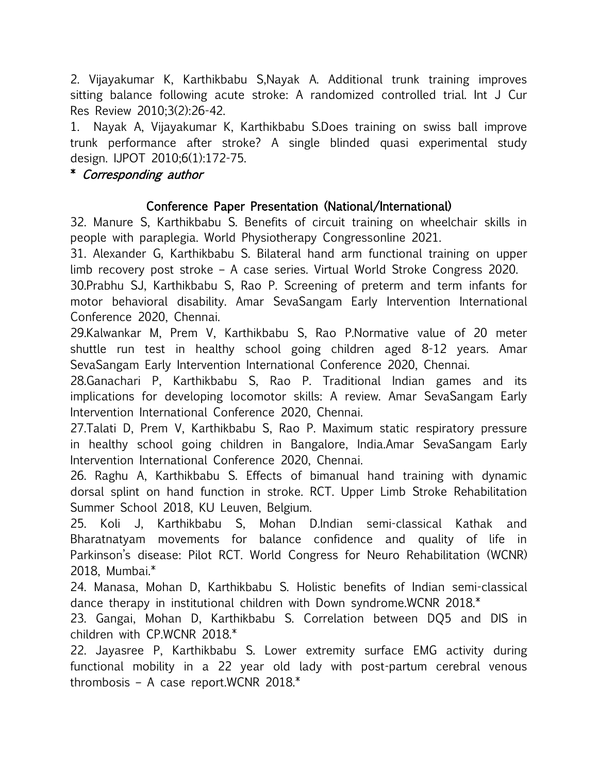2. Vijayakumar K, Karthikbabu S,Nayak A. Additional trunk training improves sitting balance following acute stroke: A randomized controlled trial. Int J Cur Res Review 2010;3(2):26-42.

1. Nayak A, Vijayakumar K, Karthikbabu S.Does training on swiss ball improve trunk performance after stroke? A single blinded quasi experimental study design. IJPOT 2010;6(1):172-75.

## \* Corresponding author

# Conference Paper Presentation (National/International)

32. Manure S, Karthikbabu S. Benefits of circuit training on wheelchair skills in people with paraplegia. World Physiotherapy Congressonline 2021.

31. Alexander G, Karthikbabu S. Bilateral hand arm functional training on upper limb recovery post stroke – A case series. Virtual World Stroke Congress 2020.

30.Prabhu SJ, Karthikbabu S, Rao P. Screening of preterm and term infants for motor behavioral disability. Amar SevaSangam Early Intervention International Conference 2020, Chennai.

29.Kalwankar M, Prem V, Karthikbabu S, Rao P.Normative value of 20 meter shuttle run test in healthy school going children aged 8-12 years. Amar SevaSangam Early Intervention International Conference 2020, Chennai.

28.Ganachari P, Karthikbabu S, Rao P. Traditional Indian games and its implications for developing locomotor skills: A review. Amar SevaSangam Early Intervention International Conference 2020, Chennai.

27.Talati D, Prem V, Karthikbabu S, Rao P. Maximum static respiratory pressure in healthy school going children in Bangalore, India.Amar SevaSangam Early Intervention International Conference 2020, Chennai.

26. Raghu A, Karthikbabu S. Effects of bimanual hand training with dynamic dorsal splint on hand function in stroke. RCT. Upper Limb Stroke Rehabilitation Summer School 2018, KU Leuven, Belgium.

25. Koli J, Karthikbabu S, Mohan D.Indian semi-classical Kathak and Bharatnatyam movements for balance confidence and quality of life in Parkinson's disease: Pilot RCT. World Congress for Neuro Rehabilitation (WCNR) 2018, Mumbai.\*

24. Manasa, Mohan D, Karthikbabu S. Holistic benefits of Indian semi-classical dance therapy in institutional children with Down syndrome.WCNR 2018.\*

23. Gangai, Mohan D, Karthikbabu S. Correlation between DQ5 and DIS in children with CP.WCNR 2018.\*

22. Jayasree P, Karthikbabu S. Lower extremity surface EMG activity during functional mobility in a 22 year old lady with post-partum cerebral venous thrombosis – A case report.WCNR 2018.\*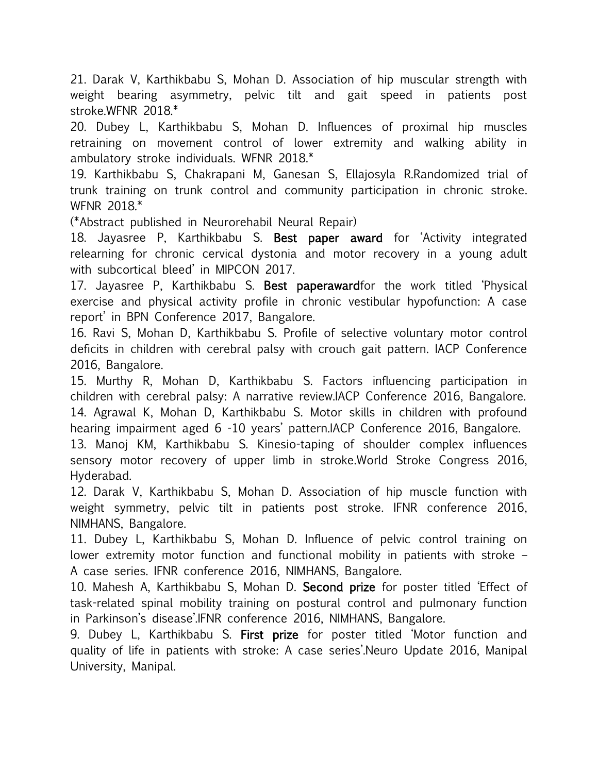21. Darak V, Karthikbabu S, Mohan D. Association of hip muscular strength with weight bearing asymmetry, pelvic tilt and gait speed in patients post stroke.WFNR 2018.\*

20. Dubey L, Karthikbabu S, Mohan D. Influences of proximal hip muscles retraining on movement control of lower extremity and walking ability in ambulatory stroke individuals. WFNR 2018.\*

19. Karthikbabu S, Chakrapani M, Ganesan S, Ellajosyla R.Randomized trial of trunk training on trunk control and community participation in chronic stroke. WFNR 2018.\*

(\*Abstract published in Neurorehabil Neural Repair)

18. Jayasree P, Karthikbabu S. Best paper award for 'Activity integrated relearning for chronic cervical dystonia and motor recovery in a young adult with subcortical bleed' in MIPCON 2017.

17. Jayasree P, Karthikbabu S. Best paperawardfor the work titled 'Physical exercise and physical activity profile in chronic vestibular hypofunction: A case report' in BPN Conference 2017, Bangalore.

16. Ravi S, Mohan D, Karthikbabu S. Profile of selective voluntary motor control deficits in children with cerebral palsy with crouch gait pattern. IACP Conference 2016, Bangalore.

15. Murthy R, Mohan D, Karthikbabu S. Factors influencing participation in children with cerebral palsy: A narrative review.IACP Conference 2016, Bangalore. 14. Agrawal K, Mohan D, Karthikbabu S. Motor skills in children with profound hearing impairment aged 6 -10 years' pattern.IACP Conference 2016, Bangalore.

13. Manoj KM, Karthikbabu S. Kinesio-taping of shoulder complex influences sensory motor recovery of upper limb in stroke.World Stroke Congress 2016, Hyderabad.

12. Darak V, Karthikbabu S, Mohan D. Association of hip muscle function with weight symmetry, pelvic tilt in patients post stroke. IFNR conference 2016, NIMHANS, Bangalore.

11. Dubey L, Karthikbabu S, Mohan D. Influence of pelvic control training on lower extremity motor function and functional mobility in patients with stroke – A case series. IFNR conference 2016, NIMHANS, Bangalore.

10. Mahesh A, Karthikbabu S, Mohan D. Second prize for poster titled 'Effect of task-related spinal mobility training on postural control and pulmonary function in Parkinson's disease'.IFNR conference 2016, NIMHANS, Bangalore.

9. Dubey L, Karthikbabu S. First prize for poster titled 'Motor function and quality of life in patients with stroke: A case series'.Neuro Update 2016, Manipal University, Manipal.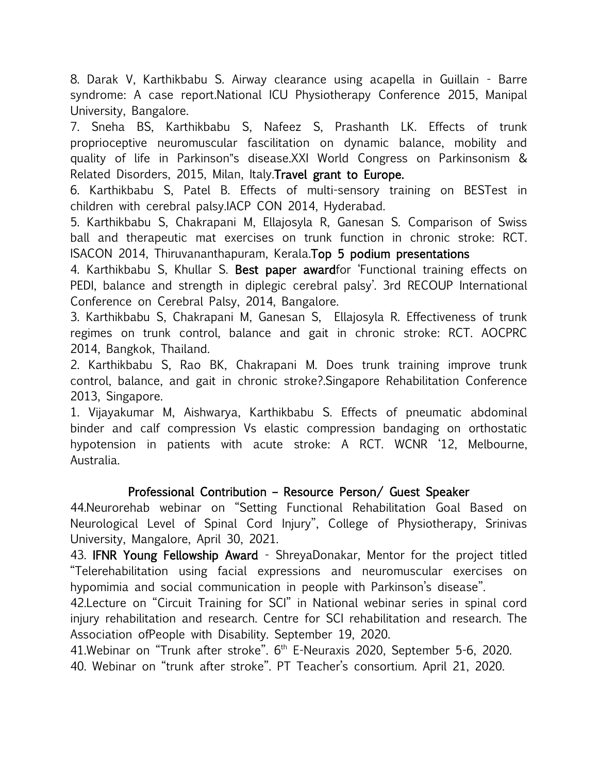8. Darak V, Karthikbabu S. Airway clearance using acapella in Guillain - Barre syndrome: A case report.National ICU Physiotherapy Conference 2015, Manipal University, Bangalore.

7. Sneha BS, Karthikbabu S, Nafeez S, Prashanth LK. Effects of trunk proprioceptive neuromuscular fascilitation on dynamic balance, mobility and quality of life in Parkinson"s disease.XXI World Congress on Parkinsonism & Related Disorders, 2015, Milan, Italy.Travel grant to Europe.

6. Karthikbabu S, Patel B. Effects of multi-sensory training on BESTest in children with cerebral palsy.IACP CON 2014, Hyderabad.

5. Karthikbabu S, Chakrapani M, Ellajosyla R, Ganesan S. Comparison of Swiss ball and therapeutic mat exercises on trunk function in chronic stroke: RCT. ISACON 2014, Thiruvananthapuram, Kerala.Top 5 podium presentations

4. Karthikbabu S, Khullar S. Best paper awardfor 'Functional training effects on PEDI, balance and strength in diplegic cerebral palsy'. 3rd RECOUP International Conference on Cerebral Palsy, 2014, Bangalore.

3. Karthikbabu S, Chakrapani M, Ganesan S, Ellajosyla R. Effectiveness of trunk regimes on trunk control, balance and gait in chronic stroke: RCT. AOCPRC 2014, Bangkok, Thailand.

2. Karthikbabu S, Rao BK, Chakrapani M. Does trunk training improve trunk control, balance, and gait in chronic stroke?.Singapore Rehabilitation Conference 2013, Singapore.

1. Vijayakumar M, Aishwarya, Karthikbabu S. Effects of pneumatic abdominal binder and calf compression Vs elastic compression bandaging on orthostatic hypotension in patients with acute stroke: A RCT. WCNR '12, Melbourne, Australia.

### Professional Contribution – Resource Person/ Guest Speaker

44.Neurorehab webinar on "Setting Functional Rehabilitation Goal Based on Neurological Level of Spinal Cord Injury", College of Physiotherapy, Srinivas University, Mangalore, April 30, 2021.

43. IFNR Young Fellowship Award - ShreyaDonakar, Mentor for the project titled "Telerehabilitation using facial expressions and neuromuscular exercises on hypomimia and social communication in people with Parkinson's disease".

42.Lecture on "Circuit Training for SCI" in National webinar series in spinal cord injury rehabilitation and research. Centre for SCI rehabilitation and research. The Association ofPeople with Disability. September 19, 2020.

41. Webinar on "Trunk after stroke". 6<sup>th</sup> E-Neuraxis 2020, September 5-6, 2020. 40. Webinar on "trunk after stroke". PT Teacher's consortium. April 21, 2020.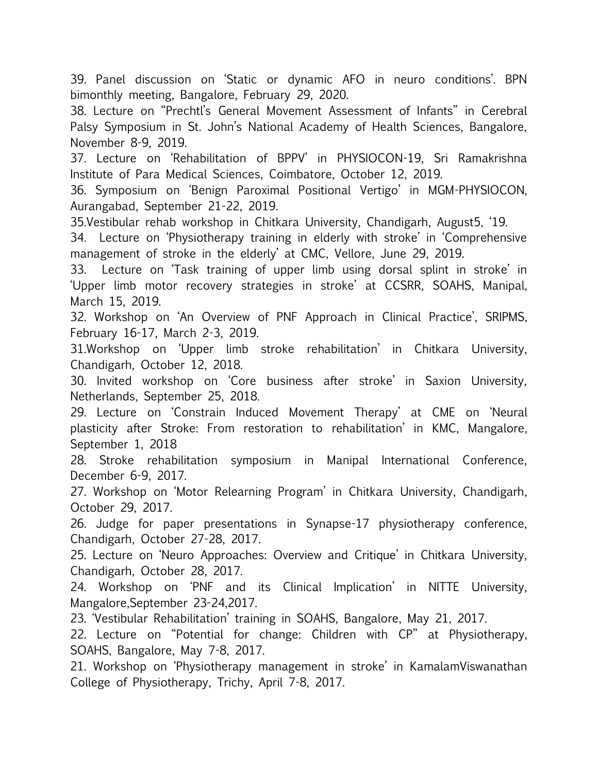39. Panel discussion on 'Static or dynamic AFO in neuro conditions'. BPN bimonthly meeting, Bangalore, February 29, 2020.

38. Lecture on "Prechtl's General Movement Assessment of Infants" in Cerebral Palsy Symposium in St. John's National Academy of Health Sciences, Bangalore, November 8-9, 2019.

37. Lecture on 'Rehabilitation of BPPV' in PHYSIOCON-19, Sri Ramakrishna Institute of Para Medical Sciences, Coimbatore, October 12, 2019.

36. Symposium on 'Benign Paroximal Positional Vertigo' in MGM-PHYSIOCON, Aurangabad, September 21-22, 2019.

35.Vestibular rehab workshop in Chitkara University, Chandigarh, August5, '19.

34. Lecture on 'Physiotherapy training in elderly with stroke' in 'Comprehensive management of stroke in the elderly' at CMC, Vellore, June 29, 2019.

33. Lecture on 'Task training of upper limb using dorsal splint in stroke' in 'Upper limb motor recovery strategies in stroke' at CCSRR, SOAHS, Manipal, March 15, 2019.

32. Workshop on 'An Overview of PNF Approach in Clinical Practice', SRIPMS, February 16-17, March 2-3, 2019.

31.Workshop on 'Upper limb stroke rehabilitation' in Chitkara University, Chandigarh, October 12, 2018.

30. Invited workshop on 'Core business after stroke' in Saxion University, Netherlands, September 25, 2018.

29. Lecture on 'Constrain Induced Movement Therapy' at CME on 'Neural plasticity after Stroke: From restoration to rehabilitation' in KMC, Mangalore, September 1, 2018

28. Stroke rehabilitation symposium in Manipal International Conference, December 6-9, 2017.

27. Workshop on 'Motor Relearning Program' in Chitkara University, Chandigarh, October 29, 2017.

26. Judge for paper presentations in Synapse-17 physiotherapy conference, Chandigarh, October 27-28, 2017.

25. Lecture on 'Neuro Approaches: Overview and Critique' in Chitkara University, Chandigarh, October 28, 2017.

24. Workshop on 'PNF and its Clinical Implication' in NITTE University, Mangalore,September 23-24,2017.

23. 'Vestibular Rehabilitation' training in SOAHS, Bangalore, May 21, 2017.

22. Lecture on "Potential for change: Children with CP" at Physiotherapy, SOAHS, Bangalore, May 7-8, 2017.

21. Workshop on 'Physiotherapy management in stroke' in KamalamViswanathan College of Physiotherapy, Trichy, April 7-8, 2017.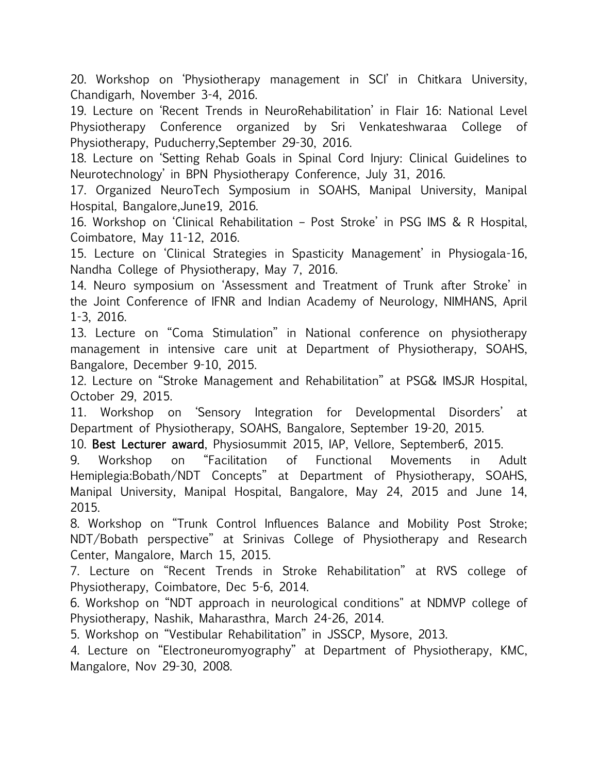20. Workshop on 'Physiotherapy management in SCI' in Chitkara University, Chandigarh, November 3-4, 2016.

19. Lecture on 'Recent Trends in NeuroRehabilitation' in Flair 16: National Level Physiotherapy Conference organized by Sri Venkateshwaraa College of Physiotherapy, Puducherry,September 29-30, 2016.

18. Lecture on 'Setting Rehab Goals in Spinal Cord Injury: Clinical Guidelines to Neurotechnology' in BPN Physiotherapy Conference, July 31, 2016.

17. Organized NeuroTech Symposium in SOAHS, Manipal University, Manipal Hospital, Bangalore,June19, 2016.

16. Workshop on 'Clinical Rehabilitation – Post Stroke' in PSG IMS & R Hospital, Coimbatore, May 11-12, 2016.

15. Lecture on 'Clinical Strategies in Spasticity Management' in Physiogala-16, Nandha College of Physiotherapy, May 7, 2016.

14. Neuro symposium on 'Assessment and Treatment of Trunk after Stroke' in the Joint Conference of IFNR and Indian Academy of Neurology, NIMHANS, April 1-3, 2016.

13. Lecture on "Coma Stimulation" in National conference on physiotherapy management in intensive care unit at Department of Physiotherapy, SOAHS, Bangalore, December 9-10, 2015.

12. Lecture on "Stroke Management and Rehabilitation" at PSG& IMSJR Hospital, October 29, 2015.

11. Workshop on 'Sensory Integration for Developmental Disorders' at Department of Physiotherapy, SOAHS, Bangalore, September 19-20, 2015.

10. Best Lecturer award, Physiosummit 2015, IAP, Vellore, September6, 2015.

9. Workshop on "Facilitation of Functional Movements in Adult Hemiplegia:Bobath/NDT Concepts" at Department of Physiotherapy, SOAHS, Manipal University, Manipal Hospital, Bangalore, May 24, 2015 and June 14, 2015.

8. Workshop on "Trunk Control Influences Balance and Mobility Post Stroke; NDT/Bobath perspective" at Srinivas College of Physiotherapy and Research Center, Mangalore, March 15, 2015.

7. Lecture on "Recent Trends in Stroke Rehabilitation" at RVS college of Physiotherapy, Coimbatore, Dec 5-6, 2014.

6. Workshop on "NDT approach in neurological conditions" at NDMVP college of Physiotherapy, Nashik, Maharasthra, March 24-26, 2014.

5. Workshop on "Vestibular Rehabilitation" in JSSCP, Mysore, 2013.

4. Lecture on "Electroneuromyography" at Department of Physiotherapy, KMC, Mangalore, Nov 29-30, 2008.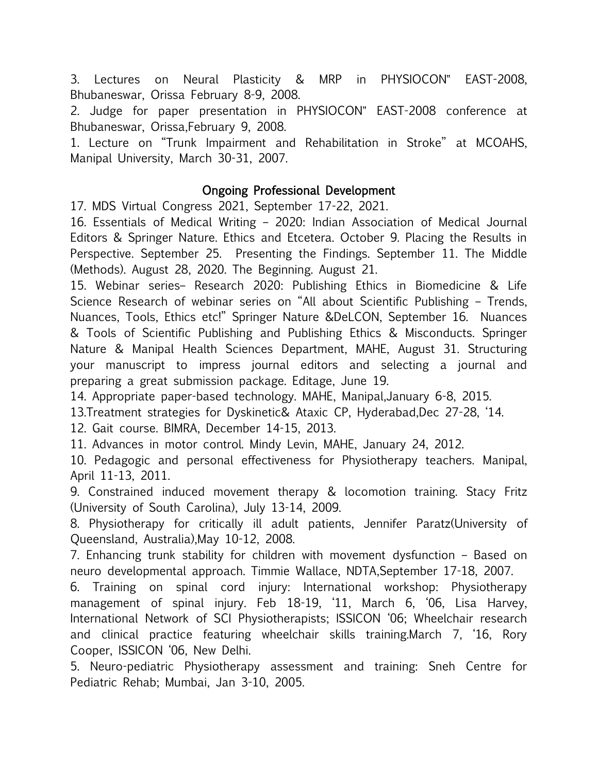3. Lectures on Neural Plasticity & MRP in PHYSIOCON" EAST-2008, Bhubaneswar, Orissa February 8-9, 2008.

2. Judge for paper presentation in PHYSIOCON" EAST-2008 conference at Bhubaneswar, Orissa,February 9, 2008.

1. Lecture on "Trunk Impairment and Rehabilitation in Stroke" at MCOAHS, Manipal University, March 30-31, 2007.

### Ongoing Professional Development

17. MDS Virtual Congress 2021, September 17-22, 2021.

16. Essentials of Medical Writing – 2020: Indian Association of Medical Journal Editors & Springer Nature. Ethics and Etcetera. October 9. Placing the Results in Perspective. September 25. Presenting the Findings. September 11. The Middle (Methods). August 28, 2020. The Beginning. August 21.

15. Webinar series– Research 2020: Publishing Ethics in Biomedicine & Life Science Research of webinar series on "All about Scientific Publishing – Trends, Nuances, Tools, Ethics etc!" Springer Nature &DeLCON, September 16. Nuances & Tools of Scientific Publishing and Publishing Ethics & Misconducts. Springer Nature & Manipal Health Sciences Department, MAHE, August 31. Structuring your manuscript to impress journal editors and selecting a journal and preparing a great submission package. Editage, June 19.

14. Appropriate paper-based technology. MAHE, Manipal,January 6-8, 2015.

13.Treatment strategies for Dyskinetic& Ataxic CP, Hyderabad,Dec 27-28, '14.

12. Gait course. BIMRA, December 14-15, 2013.

11. Advances in motor control. Mindy Levin, MAHE, January 24, 2012.

10. Pedagogic and personal effectiveness for Physiotherapy teachers. Manipal, April 11-13, 2011.

9. Constrained induced movement therapy & locomotion training. Stacy Fritz (University of South Carolina), July 13-14, 2009.

8. Physiotherapy for critically ill adult patients, Jennifer Paratz(University of Queensland, Australia),May 10-12, 2008.

7. Enhancing trunk stability for children with movement dysfunction – Based on neuro developmental approach. Timmie Wallace, NDTA,September 17-18, 2007.

6. Training on spinal cord injury: International workshop: Physiotherapy management of spinal injury. Feb 18-19, '11, March 6, '06, Lisa Harvey, International Network of SCI Physiotherapists; ISSICON '06; Wheelchair research and clinical practice featuring wheelchair skills training.March 7, '16, Rory Cooper, ISSICON '06, New Delhi.

5. Neuro-pediatric Physiotherapy assessment and training: Sneh Centre for Pediatric Rehab; Mumbai, Jan 3-10, 2005.